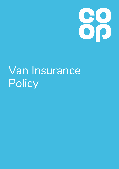

# Van Insurance **Policy**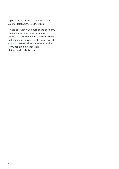If **you** have an accident call the 24 hour Claims Helpline: 0345 999 8888

Please call within 24 hours of the accident, but ideally within 1 hour. **You** may be entitled to a FREE **courtesy vehicle**, FREE collection and delivery, and **we** can provide a windscreen repair/replacement service. For Glass claims please visit: **claims.markerstudy.com**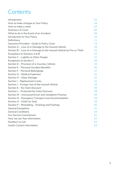### **Contents**

| Introduction                                                          | 04 |
|-----------------------------------------------------------------------|----|
| How to make changes to Your Policy                                    | 04 |
| How to make a claim                                                   | 04 |
| <b>Summary of Cover</b>                                               | 06 |
| What to do in the Event of an Accident                                | 09 |
| Introduction to Your Policy                                           | 10 |
| Definitions                                                           | 11 |
| Insurance Provided - Guide to Policy Cover                            | 13 |
| Section A – Loss of or Damage to the Insured Vehicle                  | 16 |
| Section B – Loss of or Damage to the Insured Vehicle by Fire or Theft | 21 |
| Exceptions to Sections A & B                                          | 25 |
| Section C - Liability to Other People                                 | 27 |
| <b>Exceptions to Section C</b>                                        | 28 |
| Section D - Provision of a Courtesy Vehicle                           | 29 |
| Section E - Personal Accident Benefits                                | 30 |
| Section F - Personal Belongings                                       | 31 |
| Section G - Medical Expenses                                          | 31 |
| Section H - Glass Damage                                              | 32 |
| Section I - Replacement Locks                                         | 33 |
| Section J - Foreign Use of the Insured Vehicle                        | 34 |
| Section K - No Claim Discount                                         | 36 |
| Section L - Protected No Claim Discount                               | 38 |
| Section M - Uninsured Driver and Vandalism Promise                    | 38 |
| Section N - Emergency Transport and Accommodation                     | 39 |
| Section O - Child Car Seat                                            | 39 |
| Section P – Misfuelling – Draining and Flushing                       | 40 |
| <b>General Exceptions</b>                                             | 41 |
| <b>General Conditions</b>                                             | 44 |
| Our Service Commitment                                                | 51 |
| How we use Your information                                           | 53 |
| Numbers to Call                                                       | 53 |
| <b>Useful Contact Information</b>                                     | 54 |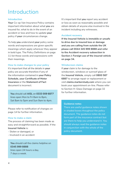### Introduction

### **Introduction**

**Your** Co-op Van Insurance Policy contains important information about what **you** are insured for, what to do in the event of an accident or loss and how to update **your** policy if **your** circumstances change.

To help **you** understand **your** policy some words and expressions are given specific meanings which apply wherever they appear in bold type. The Policy Definitions on page 11 list these words and expressions with their meanings.

### **How to make changes to your policy**

It's important that all the details in **your**  policy are accurate therefore if any of the information contained in **your Policy Schedule, your Certificate of Motor Insurance** or the **Statement of Fact** document is incorrect.

**You** should call **AISL** on **0333 009 6877** lines open Mon to Fri 8am to 8pm, Sat 8am to 5pm and Sun 9am to 4pm.

Please refer to notification of changes on page 14 for further information.

#### **How to make a claim**

The process of claiming has been made as easy and straightforward as possible. If the **Insured Vehicle** is:

- Stolen or damaged, or
- Involved in an accident

**You** should call the claims helpline on **0345 999 8888** lines open 24 hours a day, 7 days a week.

It's important that **you** report any accident or loss as soon as reasonably possible and obtain details of anyone else involved in the incident including any witnesses.

#### **Accident recovery**

**If the Insured Vehicle is immobile or unsafe to drive due to insured loss or damage and you are calling from outside the UK please call 0044 345 999 8888 and refer to the Accident recovery subsection in**  Section J: Foreign use of the insured vehicle **on page 34.**

### **Windscreen claims**

If **your** claim is for damage to the windscreen, windows or sunroof glass of the **Insured Vehicle**, simply call **0800 587 6887** to arrange repair or replacement or visit **claims.markerstudy.com** where you can book your appointment on-line. Please refer to Section H: Glass Damage on page 32 for further information.

#### **Guidance notes**

There are useful guidance notes shown in shaded boxes thoughout the policy document. The guidance notes do not form part of the insurance contract but are there to help you understand it. You should always read the guidance notes in conjunction with the whole of the policy document.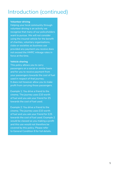### Introduction (continued)

### **Volunteer driving**

Helping your local community through volunteer driving is an activity we recognise that many of our policyholders want to pursue. We will not consider using the insured vehicle for the benefit of charities, voluntary organisations, clubs or societies as business use provided any payment you receive does not exceed the HMRC mileage rates in force at the time.

#### **Vehicle sharing**

This policy allows you to carry passengers on a social or similar basis and for you to receive payment from your passengers towards the cost of fuel used in respect of that journey. It does not however allow you to make profit from carrying those passengers.

Example 1: You drive a friend to the cinema. The journey uses £10 worth of fuel and you ask your friend for £5 towards the cost of fuel used.

Example 2: You drive a friend to the cinema. The journey uses £10 worth of fuel and you ask your friend for £25 towards the cost of fuel used. Example 2 would be classed as you making a profit and this use would not therefore be covered by this policy. Please refer to General Condition 9 for full details.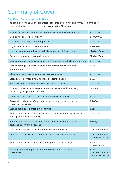# Summary of Cover

### **Significant features and limitations**

The table below shows the significant features and limitations of **your** Policy and is dependent upon the cover shown in **your Policy Schedule**.

| Liability for death of or injury to third parties (including passengers)                                        | Unlimited                                           |
|-----------------------------------------------------------------------------------------------------------------|-----------------------------------------------------|
| Liability for damage to property                                                                                | £5,000,000                                          |
| Liability of passengers to other parties                                                                        | Unlimited                                           |
| Legal costs incurred with our consent                                                                           | £5,000,000                                          |
| Loss or damage to the insured vehicle as a result of fire or theft                                              | <b>Market Value</b>                                 |
| Accidental damage of insured vehicle                                                                            | <b>Market Value</b>                                 |
| Loss or damage to electronic equipment fitted by the vehicle manufacturer                                       | <b>Unlimited</b>                                    |
| Loss or damage to electronic equipment permanently fitted post<br>manufacture                                   | £500                                                |
| Glass damage where an <b>approved repairer</b> is used                                                          | <b>Unlimited</b>                                    |
| Glass damage where a non-approved repairer is used                                                              | £150                                                |
| Recovery of insured vehicle following a covered incident                                                        | <b>Unlimited</b>                                    |
| Provision of a Courtesy Vehicle where the insured vehicle is being<br>repaired by an approved repairer          | 14 days                                             |
| Medical expenses for each occupant of the insured vehicle                                                       | £250                                                |
| Personal accident benefit for you and any named driver for death<br>or certain disabilities                     | £5,000                                              |
| Loss or damage to personal belongings                                                                           | £250                                                |
| Replacement of child car seats following their loss or damage or impact<br>damage to the <b>insured vehicle</b> | Unlimited                                           |
| Foreign use - full policy cover in any EU and certain other associated<br>countries during the policy year      | 60 days                                             |
| Vandalism Promise – if the <i>insured vehicle</i> is vandalised                                                 | NCD not reduced                                     |
| Uninsured Driver Promise - if you are hit by an uninsured driver                                                | <b>NCD</b> not reduced<br>No Excess applied         |
| Replacement of keys and locks following theft or loss of keys                                                   | £500<br>NCD not reduced                             |
| Draining and flushing of the insured vehicle's fuel tank following<br><b>Misfuelling</b>                        | £250<br><b>NCD</b> not reduced<br>No Excess applied |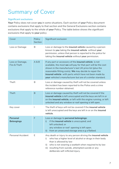# Summary of Cover

### **Significant exclusions**

**Your** Policy does not cover **you** in some situations. Each section of **your** Policy document contains exclusions that apply to that section and the General Exclusions section contains exclusions that apply to the whole of **your** Policy. The table below shows the significant exclusions that apply to **your** policy

| Cover                           | Policy<br><b>Section</b> | Significant exclusion                                                                                                                                                                                                                                                                                                                                                   |
|---------------------------------|--------------------------|-------------------------------------------------------------------------------------------------------------------------------------------------------------------------------------------------------------------------------------------------------------------------------------------------------------------------------------------------------------------------|
| Loss or Damage                  | B                        | Loss or damage to the insured vehicle caused by a person<br>known to you taking the insured vehicle without your<br>permission, unless that person is reported to the police for<br>taking the insured vehicle without your permission.                                                                                                                                 |
| Loss or Damage,<br>Fire & Theft | A & B                    | If any part or accessory of the insured vehicle is not<br>available, the most we will pay for that part will be the cost<br>shown in the manufacturer's last UK price list (plus the<br>reasonable fitting costs). We may decide to repair the<br>insured vehicle with parts which have not been made by<br>your vehicles's manufacturer but are of a similar standard. |
| Theft                           | B                        | Loss or damage caused by theft will not be covered unless<br>the incident has been reported to the Police and a crime<br>reference number obtained.                                                                                                                                                                                                                     |
| <b>Theft</b>                    | B                        | Loss or damage caused by theft will not be covered if the<br>insured vehicle is left unoccupied and the keys are left in or<br>on the insured vehicle, or left with the engine running, or left<br>unlocked and any window or roof opening is left open.                                                                                                                |
| Key cover                       | I                        | The theft of keys will not be covered if the insured vehicle<br>is left unoccupied and the keys are left in or on the insured<br>vehicle.                                                                                                                                                                                                                               |
| Personal<br><b>Belongings</b>   | F                        | Loss or damage to personal belongings:<br>if the insured vehicle is unoccupied; and<br>i)<br>left unlocked; or<br>any window or roof opening is left open.<br>from an unsecured storage area e.g a flatbed.<br>ii)                                                                                                                                                      |
| Personal Accident               | Е                        | Any death or injury to any person driving the insured vehicle<br>who has a higher level of alcohol or drugs in their body<br>i)<br>than is allowed by law<br>who is not wearing a seatbelt when required to by law<br>ii)<br>resulting from suicide, attempted suicide or any<br>iii)<br>deliberate self-inflicted injury.                                              |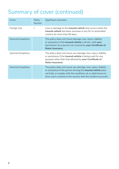# Summary of cover (continued)

| Cover                     | Policy<br><b>Section</b> | Significant exclusion                                                                                                                                                                                                                                                      |
|---------------------------|--------------------------|----------------------------------------------------------------------------------------------------------------------------------------------------------------------------------------------------------------------------------------------------------------------------|
| Foreign Use               | $\mathbf{I}$             | Loss or damage to the <b>insured vehicle</b> that occurs when the<br><b>insured vehicle</b> has been overseas in any EU or associated<br>country for more than 60 days.                                                                                                    |
| <b>General Exceptions</b> |                          | The policy does not insure damage, loss, Injury, liability<br>or assistance if the insured vehicle is driven, with your<br>permission, by a person not covered by your Certificate of<br>Motor Insurance.                                                                  |
| <b>General Exceptions</b> |                          | The policy does not insure any damage, loss, Injury, liability<br>or assistance if the <b>insured vehicle</b> is being used for any<br>purpose other than that allowed by your Certificate of<br>Motor Insurance.                                                          |
| <b>General Exceptions</b> |                          | The policy does not insure any damage, loss, Injury, liability<br>or assistance if the person driving the <b>insured vehicle</b> does<br>not hold, or comply with the conditions of, a valid licence to<br>drive such a vehicle in the country that the incident occurred. |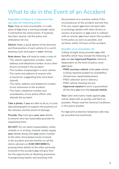### What to do in the Event of an Accident

### **Regardless of blame it is important that you take the following action:**

**Stop:** Stop as soon as possible, in a safe place (if **you** have a warning triangle, place it well before the obstruction). If anybody has been injured, call the police and ambulance service.

**Sketch:** Make a quick sketch of the direction and final position of each vehicle (it is worth keeping a pen and paper in **your** vehicle).

**Note down: You** will need to make a note of:

- The vehicle registration number, name, address and telephone number of any other drivers involved in the accident.
- The number of passengers in each vehicle.
- The name and address of anyone who is injured (or suggesting they have been injured).
- The name, address and telephone number of any witnesses to the accident.
- The name, telephone number and constabulary of any police officer who attends the accident.

**Take a photo**: If **you** are able to do so, try and take photographs to support the positions of the vehicles and the extent of damage.

**Provide: You** must give **your own** details to anyone who has reasonable grounds for requesting them.

**DO NOT**: Do not admit responsibility, either verbally or in writing. Instead, simply supply **your** details along with **your** policy number to the other driver(s)/person(s) involved in the accident and ask him/her to call the claims advisers on **0345 999 8888** By passing these details to the other person(s) involved in the accident **you** will give him/ her the opportunity of obtaining assistance in progressing repairs and assisting with

the provision of a courtesy vehicle if the circumstances of the accident warrant this. If for any reason **you** have not been able to exchange details with other drivers or owners of property or **you** were in collision with an animal, **you** must report the accident to the police as soon as possible, and certainly within 24 hours of the accident.

### **Benefits of an immediate call**

Calling straight away provides **you** with benefits which may include the following, if **you** use **our Approved Repairer** network, (dependent on the level of policy cover **you** have):

- **FREE courtesy vehicle** while **your** vehicle is being repaired (subject to availability).
- Windscreen repair/replacement.
- FREE collection and re-delivery.
- FREE vehicle cleaning service.
- **Approved repairer's** work is guaranteed all the time **you** own the **insured vehicle**.

**Your** claim and claims made against **you**, will be dealt with as quickly and fairly as possible. Please read the General Conditions in this policy booklet.

For **our** joint protection telephone calls may be recorded and monitored.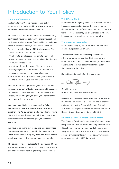### Introduction to Your Policy

#### **Contract of Insurance**

Welcome to **your** Co-op Insurance Van policy arranged and administered by **Affinity Insurance Solutions Limited** and produced by **us**.

This Policy Document is evidence of a legally binding contract of insurance between **you** (the Insured) and **us** (Markerstudy Insurance Services Limited on behalf of the authorised insurer, details of which can be found on **your Certificate of Motor Insurance**). This contract is entered into on the basis that:

- **You** have taken all reasonable care to answer all questions asked honestly, accurately and to the best of **your** knowledge; and
- any other information given either verbally or in writing by **you**, or on **your** behalf at the time **you** applied for insurance is also complete; and
- the information supplied has been given honestly and to the best of **your** knowledge and belief.

The information that **you** have given to **us** is shown on **your statement of fact or statement of insurance** but will also include further information given either verbally or in writing by **you** or on **your** behalf at the time **you** applied for insurance.

**You** must read this Policy Document, the **Policy Schedule** and the **Certificate of Motor Insurance** together. The **Policy Schedule** tells **you** which sections of the policy apply. Please check all three documents carefully to make certain they give **you** the cover **you** want.

**We** have arranged to insure **you** against liability, loss or damage that may occur within the **geographical limits** of the policy during any **period of insurance** for which **you** have paid, or agreed to pay the premium.

The cover provided is subject to the terms, conditions and exceptions contained in this policy document or in any **endorsements** applying to this policy document.

#### **Third Party Rights**

Nobody other than **you** (the Insured), **us** (Markerstudy Insurance Services Limited) or the insurer has any rights that they can enforce under this contract except for those rights that they have under road traffic law in any country in which this insurance applies.

#### **The language that applies**

Unless specifically agreed otherwise, this insurance shall be subject to English Law.

The terms and conditions of this policy and all other information concerning this insurance are communicated to **you** in the English language and **we** undertake to communicate in this language for the duration of the policy.

Signed for and on behalf of the insurer by:

Camples

Gary Humphreys Markerstudy Insurance Services Limited

Markerstudy Insurance Services Limited is registered in England and Wales (No. 2135730) and authorised and regulated by the Financial Conduct Authority (No. 475572). Registered office 45 Westerham Road, Bessels Green, Sevenoaks, Kent TN13 2QB.

#### **Financial Services Compensation Scheme**

The Financial Services Compensation Scheme covers this policy. **You** may be entitled to compensation from this scheme if **we** cannot meet **our** liabilities under this policy. Further information about compensation scheme arrangements is available at **www.fscs.org. uk** or by telephoning **0207 741 4100.**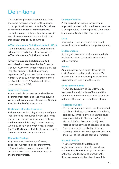## **Definitions**

The words or phrases shown below have the same meaning whenever they appear in this policy document or in the **Certificate of Motor Insurance** or **Endorsements**. So that **you** can easily identify these words and phrases they are shown in bold print throughout this policy document.

### **Affinity Insurance Solutions Limited (AISL)**

Co-op Insurance policies are arranged and administered on behalf of the insurer by **Affinity Insurance Solutions Limited**.

### **Affinity Insurance Solutions Limited**,

authorised and regulated by the Financial Conduct Authority, under Financial Services Register number 940309 a company registered in England and Wales (company number 12486813) with registered office at: Arndale House, 122a Market Street, Manchester, M4 3AG.

### **Approved Repairer**

A motor vehicle repairer authorised by **us** or **our** representative to repair the **insured vehicle** following a valid claim under Section A or Section B of this insurance.

### **Certificate of Motor Insurance**

A document, which is legal evidence of **your** insurance and is required by law and forms part of this contract of insurance. It shows the **insured vehicle's** registration number, who may drive it and what it may be used for. **The Certificate of Motor Insurance** must be read with this policy document.

#### **Computer System**

Any computer, hardware, software, application, process, code, programme, information technology, communication system or electronic device operated by the **insured vehicle**.

### **Courtesy Vehicle**

A car derived van loaned to **you** by **our approved repairer** whilst the **insured vehicle** is being repaired following a valid claim under Section A or Section B of this insurance.

#### **Data**

Information used, accessed, processed, transmitted or stored by a computer system.

### **Endorsements**

A change in terms of this insurance, which replaces or alters the standard insurance policy wording.

#### **Excess**

An amount **you** have to pay towards the cost of a claim under this insurance. **You** have to pay this amount regardless of the circumstances leading to the claim.

### **Geographical Limits**

The United Kingdom of Great Britain & Northern Ireland, the Isle of Man and the Channel Islands including transit by sea, air or land within and between these places.

#### **Hazardous Goods**

- Petrol and liquid petroleum gas transported in bulk, explosives or chemicals of a volatile, explosive, corrosive or toxic nature; and/or
- any goods listed in Classes 1 to 9 of the Health & Safety Executive (HSE) rules relating to the carriage of dangerous goods. The rules require the display of hazard warning (ADR or Hazchem) panels and that the driver of the vehicle carries a Tremcard.

#### **Insured Vehicle**

The motor vehicle, the details and registration number of which are shown in the **Policy Schedule**. Keys and keyless entry system devices and permanently fitted accessories (other than **in-vehicle**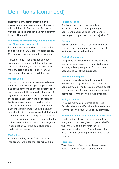# Definitions (continued)

**entertainment, communication and navigation equipment**) are included within this definition. In Section A or B, **Insured Vehicle** includes a trailer (but not a caravan trailer) attached to it.

### **In-vehicle Entertainment, Communication and Navigation Equipment**

Permanently fitted radios, cassette, MP3, compact disc or DVD players, telephones, CB radios and visual navigation equipment.

Portable items (such as radar detection equipment, personal digital assistants or portable GPS navigators), cassette tapes, memory cards, compact discs or DVDs are not included within this definition.

#### **Market Value**

The cost of replacing the **insured vehicle** at the time of loss or damage compared with one of the same make, model, specification and condition. If the **insured vehicle** was first registered as new in a country other than those contained within the **geographical limits** any assessment of **market value** will take into account that the vehicle has been individually imported into a country contained within the **geographical limits** but will not include any delivery costs incurred at the time of importation. The **market value** will be assessed by an automotive engineer in conjunction with the published trade guides at the time of loss.

### **Misfuelling**

Accidental filling of the fuel tank with inappropriate fuel for the **insured vehicle**.

### **Panoramic roof**

A vehicle roof system manufactured as single or multiple glass panel(s) or equivalent, designed to cover the entire passenger compartment or the majority of it.

#### **Partner**

**Your** husband, wife, civil partner, common law partner or someone **you** are living with as if **you** are married to them.

### **Period of Insurance**

The period between the effective date and expiry date shown on the **Policy Schedule** and any subsequent period for which **we** accept renewal of the insurance.

#### **Personal belongings**

Personal property within the **insured vehicle** including clothing, portable audio equipment, multimedia equipment, personal computers, satellite navigation systems not permanently fitted to the **insured vehicle**.

#### **Policy Schedule**

The document, also referred to as Policy Details, which identifies the policyholder and summarises the cover **your** policy provides.

#### **Statement of Fact or Statement of Insurance**

The form that shows the information that **you** gave or that was given on **your** behalf at the time **you** applied for insurance. **We** have relied on the information provided on this form in entering into this contract of insurance.

#### **Terrorism**

**Terrorism** as defined in the **Terrorism** Act 2000 or any subsequent amendment.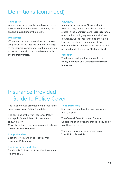# Definitions (continued)

### **Third party**

Any person, including the legal owner of the **insured vehicle**, who makes a claim against anyone insured under this policy.

### **Unattended**

Where **you** or no person authorised by **you** are present in the **insured vehicle**, in charge of the **insured vehicle** or are not in a position to prevent unauthorised interference with the **insured vehicle**.

### **We/Us/Our**

Markerstudy Insurance Services Limited (MISL) acting on behalf of the insurer as stated in the **Certificate of Motor Insurance**, or under its trading agreement with Co-op Insurance. Co-op Insurance and the Co-op logo are registered trademarks of Cooperative Group Limited or its affiliates and are used under licence by **MISL** and **AISL**.

### **You/Your**

The insured policyholder named in the **Policy Schedule** and **Certificate of Motor Insurance**.

### Insurance Provided – Guide to Policy Cover

The level of cover provided by this insurance is shown on **your Policy Schedule**.

The sections of this Van Insurance Policy that apply for each level of cover are as shown below.

Cover is subject to any **endorsements** shown on **your Policy Schedule**.

### **Comprehensive**

Sections A to K and M to P of this Van Insurance Policy apply\*.

### **Third Party Fire and Theft**

Sections B, C, J, and K of this Van Insurance Policy apply\*.

### **Third Party Only**

Sections C, J, and K of this Van Insurance Policy apply\*.

The General Exceptions and General Conditions of this Van Insurance Policy apply to all levels of cover.

\*Section L may also apply if shown on **Your Policy Schedule**.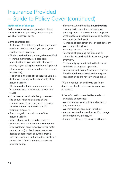# Insurance Provided – Guide to Policy Cover (continued)

### **Notification of changes**

To keep **your** insurance up to date please notify **AISL** straight away about changes which affect **your** cover.

Some examples are:

- A change of vehicle or **you** have purchased another vehicle to which **you** want **your** existing cover to apply.
- The **insured vehicle** is changed or modified from the manufacturer's standard specification or **you** intend to change or modify it (including the addition of optional fit accessories such as spoilers, skirts, alloy wheels etc).
- A change in the use of the **insured vehicle**.
- A change relating to the ownership of the **insured vehicle**.
- The **insured vehicle** has been stolen or is involved in an accident no matter how trivial.
- If the **insured vehicle** is likely to exceed the annual mileage declared at the commencement or renewal of the policy for which **you** may have received a premium discount.
- Any change in the main user of the **insured vehicle**.
- **You** wish a new driver to be covered.
- Someone who drives the **insured vehicle** is convicted of an offence (whether motor related or not) or fixed penalty or other licence endorsement or suffers from a medical condition that should be disclosed to the DVLA / DVANI or has a claim on another policy.
- Someone who drives the **insured vehicle** has any police enquiry or prosecution pending (note – if **you** have been stopped by the police a prosecution may be pending and must be disclosed).
- A change of occupation (full or part-time) by **you** or any other driver.
- A change of postal address.
- A change of garaging facilities and/or where the **insured vehicle** is normally kept overnight.
- The security system fitted to the *insured* **vehicle** is no longer in operation.
- Any Advanced Driver Assistance Systems fitted to the **insured vehicle** that require recalibration or are not in working order.

This is not a full list and if **you** are in any doubt **you** should advise **us** for **your** own protection.

- If the information provided by **you** is not complete or accurate:
- **we** may cancel **your** policy and refuse to pay any claim, or
- **we** may not pay any claim in full, or
- **we** may revise the premium and/or change the compulsory **excess**, or
- the extent of the cover may be affected.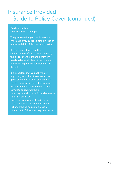## Insurance Provided – Guide to Policy Cover (continued)

### **Guidance notes – Notification of changes**

The premium that you pay is based on information you supplied at the inception or renewal date of this insurance policy.

If your circumstances, or the circumstances of any driver covered by this policy change, then the premium needs to be recalculated to ensure we are collecting the correct premium for the risk.

It is important that you notify us of any changes such as those examples given under Notification of changes. If you fail to supply details of changes or the information supplied by you is not complete or accurate then:

- we may cancel your policy and refuse to pay any claim, or
- we may not pay any claim in full, or
- we may revise the premium and/or change the compulsory excess, or
- the extent of the cover may be affected.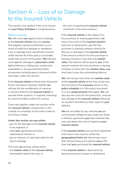## Section A – Loss of or Damage to the Insured Vehicle

This section only applies if the cover shown on **your Policy Schedule** is Comprehensive.

### **What is covered**

**We** will cover **you** against loss or damage to the **insured vehicle** (less any **excess** that applies) caused accidentally or as a result of malicious damage or vandalism. Loss or damage more specifically covered under Section B of this policy is excluded under this section of the policy. **We** will also cover **you** for damage to, **panoramic roofs**, lights/reflectors, folding rear windscreen assemblies or any permanently fitted accessories including glass contained within hard tops, under this section.

If the **insured vehicle** is fitted with Advanced Driver Assistance Systems (ADAS) **we** will pay for the recalibration of cameras or sensors fitted to the **insured vehicle** to operate these systems, if required, following an insured incident under this section.

Cover also applies under this section while the **insured vehicle** is temporarily in the custody of a member of the motor trade for servicing or repair.

#### **Under this section we may either:**

- pay for the damage to the **insured vehicle** to be repaired; or
- with **your** agreement provide a replacement vehicle; or
- pay an amount of cash equivalent to the loss or damage.

The most **we** will pay will be either:

- the **market value** of the **insured vehicle** immediately before the loss; or

- the cost of repairing the **insured vehicle**; whichever is the lower amount.

If the **insured vehicle** is the subject of a hire purchase or leasing agreement, **we** may in the event of the **insured vehicle's** total loss or destruction, pay the hire purchase or leasing company directly for the loss or damage to the **insured vehicle**. If the amount owed to the hire purchase or leasing company is less than the **market value**, the balance will be paid to **you**. If the amount owed to the hire purchase or leasing company is more than the **market value, you** may have to pay the outstanding balance.

**We** will not pay more than the **market value** of the **insured vehicle** at the time of the loss less the total of the **excesses** shown in the **policy schedule** or in this policy document or in any **endorsements** that apply. **We** will also pay the costs for the protection, removal and storage of the **insured vehicle** following an accident and delivery after repair to **your** address.

**We** are not liable for any amount **you** are contractually obliged to pay under any lease or finance agreement **you** have entered into, over and above the cost of replacing **your insured vehicle**.

If the **insured vehicle** was not first registered from new in any country within the **geographical limits we** will not pay more than the purchase price paid by **you** at the time that **you** purchased the **insured vehicle**.

If the **insured vehicle** is deemed to be beyond economical repair or settlement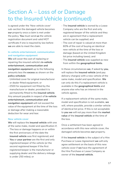is agreed under the 'New vehicle cover' sub-section the damaged vehicle becomes **our** property once a claim is met under the policy. **You** must send **us** the vehicle registration document and valid MOT certificate if one is required by law before **we** are able to meet the claim.

### **In-vehicle entertainment, communication and navigation equipment**

**We** will cover the cost of replacing or repairing the insured vehicle's **in-vehicle entertainment, communication and navigation equipment** up to the following amounts less the **excess** as shown on the **policy schedule**:

- Unlimited cover for original manufacturer or dealer fitted equipment; or
- £500 for equipment not fitted by the manufacturer or dealer, provided it is permanently fitted to the **insured vehicle**. Any amount payable in respect of **in-vehicle entertainment, communication and navigation equipment** will not exceed the value of the equipment at the time of the loss or damage after making a reasonable deduction for wear and tear.

### **New vehicle cover**

**We** will replace the **insured vehicle** with one of the same make, model and specification if;

- The loss or damage happens on or within the first anniversary of the date the **insured vehicle** was first registered; and
- **You** or **your partner** are the first and only registered keeper of the vehicle (or the second registered keeper if the first registered keeper is the manufacturer or supplying dealer and the delivery mileage is under 250 miles); or
- The **insured vehicle** is owned by a Lease Company who are the first and only registered keeper of the vehicle and they are in agreement that a replacement vehicle can be supplied; and
- The cost of repair is valued at more than 60% of the cost of buying an identical new vehicle at the time of the loss or damage (based on the United Kingdom list price including taxes); and
- The **insured vehicle** was supplied as new from within the **geographical limits**.

In these circumstances **we**, if asked by **you**, will replace the **insured vehicle** (and pay delivery charges) with a new vehicle of the same make, model and specification. **We** can only do this if a replacement vehicle is available in the **geographical limits** and anyone else who has an interest in the vehicle agrees.

If a replacement vehicle of the same make, model and specification is not available, **we** will, where possible, provide a similar vehicle of identical list price. If this is not acceptable to **you we** will not pay more than the **market value** of the **insured vehicle** at the time of the loss.

Once a settlement has been agreed in accordance with this new vehicle cover, the damaged vehicle becomes **our** property.

If the **insured vehicle** is the subject of a Hire Purchase or Lease Agreement **we** will only agree settlement on the basis of this new vehicle cover if **we** have the agreement of the Hire Purchase or Lease Company as owner of the **insured vehicle**.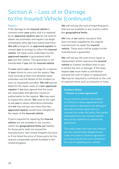### **Repairs**

If the damage to the **insured vehicle** is covered under **your** policy and it is repaired by an **approved repairer you** do not need to obtain any estimates and repairs can begin immediately after **we** have authorised them. **We will** arrange for an **approved repairer** to contact **you** to arrange to collect the **insured vehicle**. All repair work undertaken by the **approved repairer** is guaranteed while **you** own the vehicle. This guarantee is not transferable if **you** sell the **insured vehicle**.

At **your** option **you** can arrange for a repairer of **your** choice to carry out the repairs. **You** must send **us** at least two detailed repair estimates and full details of the incident as soon as reasonably possible. **We will** only be liable for the repair costs at a **non-approved repairer** if **we** have agreed that the costs are reasonable and **we** have issued an authorisation to the repairer. **We** may need to inspect the vehicle. **We** reserve the right to ask **you** to obtain alternative estimates and **we** may not pay you more than the **approved repairer** would have charged for the repair of the **insured vehicle**.

If parts required for repairing the **insured vehicle** are not available in any country within the **geographical limits our** liability for those parts shall not exceed the manufacturers' last United Kingdom list price or if not listed the price of those parts for the nearest comparable vehicle available in the United Kingdom.

**We** will not pay the cost of importing parts that are not available in any country within the **geographical limits**.

**We** may at **our** option use parts that have not been supplied by the original manufacturer to repair the **insured vehicle**. These parts will be subject to the manufacturer's guarantee.

**We** will not pay the cost of any repair or replacement which improves the **insured vehicle** to a better condition than it was in before the loss or damage. If this does happen **you** must make a contribution towards the cost of repair or replacement. **You** may be required to contribute to the cost of replaced items such as exhausts or tyres.

### **Guidance Notes – Finance or Lease agreement**

If your insured vehicle is the subject of a finance or lease agreement and your vehicle is deemed to be damaged beyond economic repair due to a covered loss under the policy the market value placed on your insured vehicle may not be sufficient to satisfy that agreement.

This policy does not cover any amount you are contractually obliged to pay under any lease or finance agreement you have entered into over and above the cost of replacing your vehicle.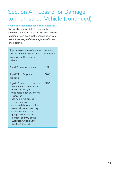### **Young and Inexperienced Driver Excesses**

**You** will be responsible for paying the following amounts while the **insured vehicle** is being driven by, is in the charge of or was last in the charge of the categories of driver listed below:

| Age or experience of person<br>driving, in charge of or last<br>in charge of the insured<br>vehicle                                                                                                                                                                                                                                                                       | Amount<br>of Excess |
|---------------------------------------------------------------------------------------------------------------------------------------------------------------------------------------------------------------------------------------------------------------------------------------------------------------------------------------------------------------------------|---------------------|
| Aged 20 years and under                                                                                                                                                                                                                                                                                                                                                   | £300                |
| Aged 21 to 24 years<br>inclusive                                                                                                                                                                                                                                                                                                                                          | £200                |
| Aged 25 years and over but:<br>- Who holds a provisional<br>driving licence, or<br>- who holds a non EU driving<br>licence, or<br>- has held a full driving<br>licence to drive a<br>commercial motor vehicle<br>issued either in a country<br>contained within the<br>geographical limits or a<br>member country of the<br>European Union but for<br>less than one year. | £150                |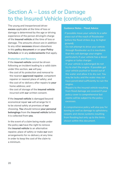The young and inexperienced driver **excess** applicable at the time of loss or damage is determined by the age or driving experience of the person driving/in charge of the **insured vehicle** at the time of loss or damage. The amounts shown are in addition to any other **excesses** shown elsewhere in this **policy document** or on **your Policy Schedule** or in any **endorsements** that apply.

### **Protection and Recovery**

If the **insured vehicle** cannot be driven following an incident leading to a valid claim under this section, **we** will pay:

- the cost of its protection and removal to the nearest **approved repairer**, competent repairer or nearest place of safety; and
- the cost of re-delivery after repairs to **your** home address; and
- the cost of storage of the **insured vehicle** incurred with **our** written consent.

If the **insured vehicle** is damaged beyond economical repair **we** will arrange for it to be stored safely at premises of **our** choosing. **You** should remove **your personal belongings** from the **insured vehicle** before it is collected from **you**.

In the event of a claim being made under the policy **we** have the right to remove the **insured vehicle** to an alternative repairer, place of safety or make **our** own arrangements for re-delivery at any time in order to keep the cost of the claim to a minimum.

### **Guidance Notes - Flood Advice**

- -If possible move your vehicle to a safer place out of the reach of floodwater before the flood strikes (e.g. to higher ground).
- Do not attempt to drive your vehicle through floodwater as it is inevitable that this will damage your engine particularly if your vehicle has a diesel engine or turbo charger.
- If your vehicle is submerged do not try to start the engine. If possible get your vehicle pushed or towed out of the water and allow it to dry out. You may be lucky and the water may not have penetrated sufficiently to ruin the engine.
- Repairs to the insured vehicle resulting from flood damage are covered if your policy cover is comprehensive but claims will be subject to the policy excesses.

A comprehensive policy will also pay for towing as well as damage to upholstery, carpets and stereo systems resulting from flooding but only up to the limits shown within this document.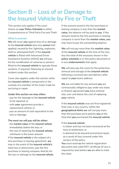# Section B – Loss of or Damage to the Insured Vehicle by Fire or Theft

This section only applies if the cover shown on **your Policy Schedule** is either Comprehensive or Third Party Fire and Theft.

### **What is covered**

**We** will cover **you** against loss of or damage to the **insured vehicle** (less any **excess** that applies) caused by fire, lightning, explosion, theft or attempted theft. If the **insured vehicle** is fitted with Advanced Driver Assistance Systems (ADAS) **we** will pay for the recalibration of cameras or sensors fitted to the **insured vehicle** to operate these systems, if required, following an insured incident under this section.

Cover also applies under this section while the **insured vehicle** is temporarily in the custody of a member of the motor trade for servicing or repair.

#### **Under this section we may either:**

- pay for the damage to the **insured vehicle** to be repaired; or
- with **your** agreement provide a replacement vehicle; or
- pay an amount of cash equivalent to the loss or damage.

### **The most we will pay will be either:**

- the **market value** of the **insured vehicle** immediately before the loss; or
- the cost of repairing the **insured vehicle**; whichever is the lower amount.

If the **insured vehicle** is the subject of a hire purchase or leasing agreement, **we** may in the event of the **insured vehicle's** total loss or destruction, pay the hire purchase or leasing company directly for the loss or damage to the **insured vehicle**. If the amount owed to the hire purchase or leasing company is less than the **market value**, the balance will be paid to **you**. If the amount owed to the hire purchase or leasing company is more than the **market value, you** may have to pay the outstanding balance.

**We** will not pay more than the **market value** of the **insured vehicle** at the time of the loss less the total of the excesses shown in the **policy schedule** or in this policy document or in any **endorsements** that apply.

**We** will also pay the costs for the protection, removal and storage of the **insured vehicle** following a covered loss and delivery after repair to **your** home address.

**We** are not liable for any amount **you** are contractually obliged to pay under any lease or finance agreement **you** have entered into, over and above the cost of replacing **your** vehicle.

If the **insured vehicle** was not first registered from new in any country within the **geographical limits we** will not pay more than the purchase price paid by **you** at the time that **you** purchased the **insured vehicle**.

### If the **insured vehicle**:

- is stolen and has not been recovered at the time of settlement; or
- is deemed to be beyond economical repair, as a result of loss covered under this section of the policy.

**You** must send **us** the vehicle registration document and valid MOT certificate (if one is required by law) before **we** are able to meet the claim.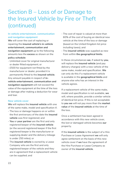# Section B – Loss of or Damage to the Insured Vehicle by Fire or Theft (continued)

### **In-vehicle entertainment, communication and navigation equipment**

**We** will cover the cost of replacing or repairing the **insured vehicle's in-vehicle entertainment, communication and navigation equipment** up to the following amounts less the **excess** as shown on the **policy schedule**:

- Unlimited cover for original manufacturer or dealer fitted equipment; or
- £500 for equipment not fitted by the manufacturer or dealer, provided it is permanently fitted to the **insured vehicle**. Any amount payable in respect of **invehicle entertainment, communication and navigation equipment** will not exceed the value of the equipment at the time of the loss or damage after making a deduction for wear and tear.

### **New vehicle cover**

**We** will replace the **insured vehicle** with one of the same make, model and specification if;

- The loss or damage happens on or within the first anniversary of the date the **insured vehicle** was first registered; and
- **You** or **your partner** are the first and only registered keeper of the **insured vehicle** (or the second registered keeper if the first registered keeper is the manufacturer or supplying dealer and the delivery mileage is under 250 miles); or
- The **insured vehicle** is owned by a Lease Company who are the first and only registered keeper of the vehicle and they are in agreement that a replacement vehicle can be supplied; and
- The cost of repair is valued at more than 60% of the cost of buying an identical new vehicle at the time of the loss or damage (based on the United Kingdom list price including taxes); and
- The **insured vehicle** was supplied as new from within **the geographical limits**.

In these circumstances **we**, if asked by **you**, will replace the **insured vehicle** (and pay delivery charges) with a new vehicle of the same make, model and specification. **We**  can only do this if a replacement vehicle is available in the **geographical limits** and anyone else who has an interest in the vehicle agrees.

If a replacement vehicle of the same make, model and specification is not available, **we** will, where possible, provide a similar vehicle of identical list price. If this is not acceptable to **you we** will not pay more than the **market value** of the **insured vehicle** at the time of the loss.

Once a settlement has been agreed in accordance with this new vehicle cover, the lost or damaged vehicle becomes **our** property.

If the **insured vehicle** is the subject of a Hire Purchase or Lease Agreement **we** will only agree settlement on the basis of this new vehicle cover if **we** have the agreement of the Hire Purchase or Lease Company as owner of the **insured vehicle**.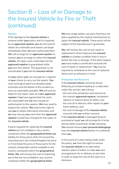### Section B – Loss of or Damage to the Insured Vehicle by Fire or Theft (continued)

#### **Repairs**

If the damage to the **insured vehicle** is covered under **your** policy and it is repaired by an **approved repairer you** do not need to obtain any estimates and repairs can begin immediately after **we** have authorised them. **We** will arrange for an **approved repairer** to contact **you** to arrange to collect the **insured vehicle**. All repair work undertaken by the **approved repairer** is guaranteed while **you** own the vehicle. This guarantee is not transferable if **you** sell the **insured vehicle**.

At **your** option **you** can arrange for a repairer of **your** choice to carry out the repairs. **You** must send **us** at least two detailed repair estimates and full details of the incident as soon as reasonably possible. **We** will only be liable for the repair costs at a **non-approved repairer** if **we** have agreed that the costs are reasonable and **we** have issued an authorisation to the repairer. **We** may need to inspect the vehicle. **We** reserve the right to ask **you** to obtain alternative estimates and **we** may not pay **you** more than the **approved repairer** would have charged for the repair of the **insured vehicle**.

If parts required for repairing the **insured vehicle** are not available in any country contained within the **geographical limits our** liability for those parts shall not exceed the manufacturers' last United Kingdom list price or if not listed the price of those parts for the nearest comparable vehicle available in any country contained within the **geographical limits**. **We** will not pay the cost of importing parts that are not available in any country contained within the **geographical limits.**

**We** may at **our** option use parts that have not been supplied by the original manufacturer to repair the **insured vehicle**. These parts will be subject to the manufacturer's guarantee.

**We** will not pay the cost of any repair or replacement which improves the **insured vehicle** to a better condition than it was in before the loss or damage. If this does happen **you** must make a contribution towards the cost of repair or replacement. **You** may be required to contribute to the cost of replaced items such as exhausts or tyres.

#### **Protection and Recovery**

If the **insured vehicle** cannot be driven following an incident leading to a valid claim under this section, **we** will pay:

- the cost of its protection and removal to the nearest **approved repairer**, competent repairer or nearest place of safety; and
- the cost of re-delivery after repairs to **your** home address; and

- the cost of storage of the **insured vehicle** incurred with **our** written consent. If the **insured vehicle** is damaged beyond economical repair **we** will arrange for it to be stored safely at premises of **our** choosing. **You** should remove **your personal belongings** from the **insured vehicle** before it is collected from **you**.

In the event of a claim being made under the policy, **we** have the right to remove the **insured vehicle** to an alternative repairer, place of safety or make **our** own arrangements for re-delivery at any time in order to keep the cost of the claim to a minimum.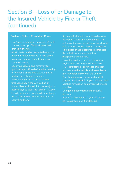### Section B – Loss of or Damage to the Insured Vehicle by Fire or Theft (continued)

#### **Guidance Notes – Preventing Crime**

- -Don't give criminal an easy ride. Vehicle crime makes up 20% of all recorded crimes in the UK.
- -Most thefts can be prevented and it's in your interest and ours to take some simple precautions. Most things are common sense.
- -Lock your vehicle and remove your ignition key/locking device when leaving it for even a short time e.g. at a petrol station or cashpoint machine.
- -Vehicle thieves often steal the keys first especially if the vehicle has an immobiliser and break into houses just to access keys to steal the vehicle. Always keep keys secure even inside your home (do not leave keys where a burglar can easily find them).
- -Keys and locking devices should always be kept in a safe and secure place – do not leave them on a wall hook, windowsill or in a jacket pocket close to the vehicle.
- -Take appropriate measures to safeguard the vehicle when showing it to prospective purchasers.
- -Do not keep items such as the vehicle registration document, service book, MOT certificate or certificate of motor insurance in the vehicle and never leave any valuables on view in the vehicle. You should remove items such as CD players, Radios/MP3 players and portable satallite navigation equipment whenever possible.
- -Use good-quality locks and security devices.
- -Park in a secure place if you can. If you have a garage, use it and lock it.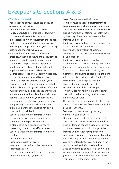### Exceptions to Sections A & B

### **What is not covered**

These sections of your insurance policy do not cover the following:

- The amount of any **excess** shown in the **Policy Schedule** or in this policy document or in any **endorsements** that apply.
- Indirect losses which result from the incident that caused **you** to claim, for example, **we** will not pay compensation for **you** not being able to use the **insured vehicle**.
- Wear and tear, mechanical or electrical breakdown including failure of any equipment, integrated circuit, computer chip, computer software or computer related equipment and failure or breakages of any part due to application of brakes or road shocks.
- Depreciation or loss of value following repairs.
- Loss of or damage caused by someone taking the **insured vehicle** without **your** permission, unless the incident is reported to the police and assigned a crime reference number and **you** do not subsequently make any statement to the police that the **insured vehicle** was taken with **your** permission.
- Loss suffered due to any person obtaining any property by fraud or deception, for example a purchaser's cheque not being honoured by their bank.
- Loss or damage to the **insured vehicle** where possession of it is gained by deception on the part of someone pretending to be a buyer or someone pretending to act on behalf of a buyer.
- Loss or damage to the **insured vehicle** as a result of:
	- lawful repossession
	- return to its rightful owner
	- seizure by the police or their authorised representatives.
- Loss or damage caused by pressure waves from aircraft or any flying object.
- Loss of or damage to the **insured vehicle** and/or **in-vehicle entertainment, communication and navigation equipment** while the **insured vehicle** is left **unattended** arising from theft or attempted theft when:
- ignition keys have been left in or on the **insured vehicle**; or
- the **insured vehicle** has not been secured by means of door and boot lock; or
- any window or any form of sliding or removable roof or hood have been left open or unlocked; or
- the **insured vehicle** is fitted with a manufacturer's standard security device and the device is not operational or is not in use.
- The costs associated with draining and flushing of the engine caused by **misfuelling** when cover is provided under Section P – **Misfuelling** – Draining and flushing.
- Loss or damage from the use of substandard fuel, lubricants or parts. This includes not following manufacturer's instructions when adding lubricants and other types of fluids.
- Confiscation, requisition or destruction by or under the order of any Government or Public or Local Authority.
- Damage to tyres caused by braking, punctures, cuts or bursts.
- Damage caused by frost unless **you** took precautions to protect the **insured vehicle.**
- Loss or damage caused deliberately by **you** or by any person who is in charge of the **insured vehicle** with **your** permission.
- Any amount **you** are contractually obliged to pay under any lease or finance agreement, **you** have entered into, over and above the cost of replacing the **insured vehicle**.
- Loss of or damage to keys, lock or ignition activators, alarm or immobiliser activators (except as insured under Section I of this insurance - Replacement locks)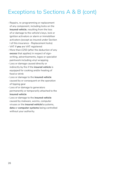### Exceptions to Sections A & B (cont)

- Repairs, re-programming or replacement of any component, including locks on the **insured vehicle**, resulting from the loss of or damage to the vehicle's keys, lock or ignition activators or alarm or immobiliser activators (except as insured under Section I of this insurance - Replacement locks)
- VAT if **you** are VAT registered
- More than £250 (after the deduction of any **excess** that applies) in respect of signwriting, advertisements, logos or specialist paintwork including vinyl wrapping
- Loss or damage caused directly or indirectly by fire if the **insured vehicle** is equipped for cooking and/or heating of food or drink
- Loss or damage to the **insured vehicle** caused by or consequent on the operation of tipping gear
- Loss of or damage to generators permanently or temporarily attached to the **insured vehicle**
- Loss or damage to the **insured vehicle** caused by malware, worms, computer viruses or the **insured vehicle's** systems, **data** or **computer systems** being controlled without your authority.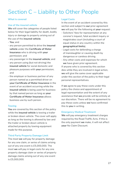# Section C – Liability to Other People

### **What is covered**

### **Use of the insured vehicle**

**We** will cover the categories of people listed below for their legal liability for death, bodily injury or damage to property arising out of the use of the **insured vehicle**;

- **You**; and
- any person permitted to drive the **insured vehicle** under the **Certificate of Motor Insurance** who is driving with **your** permission; and
- any passenger in the **insured vehicle**; and
- any person using (but not driving) the **insured vehicle** for social domestic and pleasure purposes with **your** permission; and
- the employer or business partner of any person named as a permitted driver on **your Certificate of Motor Insurance** in the event of an accident occurring while the **insured vehicle** is being used for business by that named person as long as **your Certificate of Motor Insurance** allows business use by such person.

### **Towing**

**You** are covered by this section of the policy while the **insured vehicle** is towing a trailer or broken down vehicle. The cover will apply as long as the towing is allowed by law and the trailer or broken down vehicle is attached properly by towing equipment made for this purpose.

### **Third Party Property Damage Limit**

The most **we** will pay for property damage for any one claim, or series of claims arising out of any one event is £5,000,000. The most **we** will pay in legal costs for any one property damage claim or series of property damage claims arising out of any one event is £5,000,000.

### **Legal Costs**

In the event of an accident covered by this section and subject to **our** prior agreement **we** will pay for the following at **your** request:

- Solicitors' fees for representation at any coroner's inquest, fatal accident inquiry or magistrates court (including a court of equal status in any country within the **geographical limits**).
- Legal costs for defending a charge of manslaughter or causing death by dangerous or careless driving.
- Any other costs and expenses for which **we** have given prior agreement. If anyone who is covered by this section dies while they are involved in legal action, **we** will give the same cover applicable under this section of the policy to their legal personal representatives.

If **we** agree to pay these costs under this policy the choice and appointment of legal representation and the extent of any assistance that **we** provide will be entirely at our discretion. There will be no agreement to pay these costs unless **we** have confirmed this to **you** in writing.

### **Emergency Medical Treatment**

**We** will pay emergency treatment charges required by the Road Traffic Acts. If this is the only payment **we** make, it will not affect **your** No Claim Discount.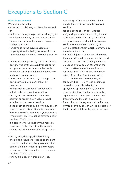### Exceptions to Section C

### **What is not covered**

**We** shall not be liable:

- if the person claiming is otherwise insured; or
- for loss or damage to property belonging to or in the care of any person insured under this section or for not being able to use any such property; or
- for damage to the **insured vehicle** or property stored or being conveyed in it or for not being able to use any such property; or
- for loss or damage to any trailer or caravan being towed by the **insured vehicle** or for any property carried in or on that trailer or caravan or for not being able to use any such trailer or caravan; or
- for death of or bodily injury to any person being carried in or on any trailer or caravan; or
- when a trailer, caravan or broken down vehicle is being towed for profit; or
- for any loss incurred while the trailer, caravan or broken down vehicle is not attached to the **insured vehicle**.
- if the death of or bodily injury to any person covered under this section arises out of or in the course of his/her employment except where such liability must be covered under the Road Traffic Acts; or
- if a person who was not driving makes a claim and he/she knew that the person driving did not hold a valid driving licence; or
- for any loss, damage, death or injury arising as a result of a 'road rage' incident or caused deliberately by **you** or any other person claiming under this policy except where such liability must be covered under the Road Traffic Acts; or
- for any claim resulting from carrying,

preparing, selling or supplying of any goods, food or drink from the **insured vehicle**.

- for damage to any bridge, viaduct, weighbridge or road or anything beneath attributed to vibration or by the weight of the vehicle and its load if the **insured vehicle** exceeds the maximum gross vehicle, plated or train weight permitted by the relevant law; or
- for death, injury or damage arising while the **insured vehicle** is not on a public road and is in the process of being loaded or unloaded by any person other than the driver or attendant of the vehicle; or
- for death, bodily injury, loss or damage arising from plant forming part of or attached to the **insured vehicle**; or
- for death, bodily injury, loss or damage caused by or attributable to the spraying or spreading of any chemical by an agricultural tractor, self propelled agricultural or forestry machine or any trailer attached to such a vehicle; or
- for any loss or damage caused deliberately by **you** or by any person who is in charge of the **insured vehicle** with **your** permission.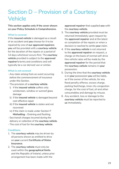# Section D – Provision of a Courtesy Vehicle

**This section applies only if the cover shown on your Policy Schedule is Comprehensive.**

### **What is covered**

If the **insured vehicle** is damaged as a result of an accident and **you** choose for it to be repaired by one of **our approved repairers you** will be provided with a **courtesy vehicle** for the duration of the repairs or a period of 14 days whichever occurs first. The **courtesy vehicle** provided is subject to the **approved repairer's** terms and conditions and will typically be a car derived van or similar.

### **What is not covered**

- Any claim arising from an event occurring before the commencement of insurance under this Section.
- The provision of a **courtesy vehicle**.
	- i) if the **insured vehicle** suffers only windscreen, window or sunroof glass damage
	- ii) if the **insured vehicle** is damaged beyond cost effective repair
	- iii) if the **insured vehicle** is stolen and not recovered
	- iv) if the claim is made under Section P **Misfuelling** – Draining and flushing
- Sea transit charges incurred during the delivery or collection of the **courtesy vehicle**.
- The cost of fuel for the **courtesy vehicle**.

### **Conditions**

- 1. The **courtesy vehicle** may be driven by all persons shown as entitled to drive on **your** current **Certificate of Motor Insurance**.
- 2. The **courtesy vehicle** must only be used within the **geographical limits** and the Republic of Ireland, unless prior arrangement has been made with the

**approved repairer** that supplied **you** with the **courtesy vehicle**.

- 3. The **courtesy vehicle** provided must be returned immediately upon request by the **approved repairer** and at the latest on completion of the repairs or when a decision is reached to settle **your** claim.
- 4. If the **courtesy vehicle** is not returned to the **approved repairer** on request, a charge on the basis of normal self-drive hire vehicle rates will be made by the **approved repairer** for the period that the **courtesy vehicle** remains in **your** possession.
- 5. During the time that the **courtesy vehicle** is in **your** possession **you** will be liable, as if the owner of the vehicle, for any fixed penalty offence, excess charge, parking fee/charge, inner city congestion charge, for the cost of fuel, oil and other consumables and damage by misuse.
- 6. Any accident, loss or damage to the **courtesy vehicle** must be reported to **us** immediately.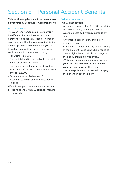# Section E – Personal Accident Benefits

**This section applies only if the cover shown on your Policy Schedule is Comprehensive.**

### **What is covered**

If **you**, anyone named as a driver on **your Certificate of Motor Insurance** or **your partner** are accidentally killed or injured in any country within the **geographical limits**, the European Union or EEA while **you** are travelling in or getting out of the **insured vehicle we** will pay for the following;

- For Death £5,000
- For the total and irrecoverable loss of sight in one or both eyes – £5,000
- For the permanent loss (at or above the wrist or ankle) of use of one or more hands or feet – £5,000
- Permanent total disablement from attending to any business or occupation – £5,000

**We** will only pay these amounts if the death or loss happens within 12 calendar months of the accident.

### **What is not covered**

**We** will not pay for:

- An amount greater than £10,000 per claim
- Death of or injury to any person not wearing a seat belt when required to by law
- Any intentional self injury, suicide or attempted suicide
- Any death of or injury to any person driving at the time of the accident who is found to have a higher level of alcohol or drugs in their body than is allowed by law
- While **you**, anyone named as a driver on **your Certificate of Motor Insurance** or **your partner** has any other vehicle insurance policy with **us**, **we** will only pay the benefit under one policy.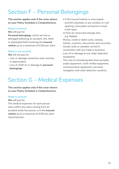# Section F – Personal Belongings

**This section applies only if the cover shown on your Policy Schedule is Comprehensive.**

### **What is covered**

**We** will pay for:

**Personal belongings**, which are lost or damaged following an accident, fire, theft or attempted theft involving the **insured vehicle** up to a maximum of £250 per claim.

### **What is not covered**

**We** will not pay for:

- Loss or damage caused by wear and tear or depreciation
- Loss of, theft of, or damage to **personal belongings**
- i) if the insured vehicle is unoccupied; and left unlocked; or any window or roof opening, removable roof panel or hood is left open.
- ii) from an unsecured storage area e.g. flatbed.
- Money, credit or debit cards, stamps, tickets, vouchers, documents and securities
- Goods, tools or samples carried in connection with any trade or business
- Loss of or damage to any radar detection equipment
- The cost of reinstating data from portable audio equipment, multi-media equipment, communication equipment, personal navigation and radar detection systems.

# Section G – Medical Expenses

**This section applies only if the cover shown on your Policy Schedule is Comprehensive.**

### **What is covered**

**We** will pay for:

The medical expenses for each person who suffers any injury arising from an accident while the person is in the **insured vehicle** up to a maximum of £250 for each injured person.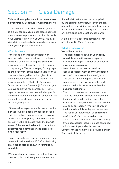# Section H – Glass Damage

**This section applies only if the cover shown on your Policy Schedule is Comprehensive.**

In the event of an incident likely to give rise to a claim for damaged glass please contact the approved replacement service via the 24 hour Claims Helpline on **0800 587 6887** or visit **claims.markerstudy.com** where you can book your appointment on-line.

### **What is covered**

If the glass in the front windscreen or sunroof, side or rear windows of the **insured vehicle** is damaged during the **period of insurance we** will pay the cost of repairing or replacing it. **We** will also pay for any repair to the bodywork of the **insured vehicle** that has been damaged by broken glass from the windscreen, sunroof or window. If the **insured vehicle** is fitted with Advanced Driver Assistance Systems (ADAS) and **you** use **our** approved replacement service to replace the windscreen, **we** will also pay for the recalibration of cameras or sensors fitted behind the windscreen to operate these systems, if required.

If the repair or replacement is carried out by **our** approved replacement service cover is unlimited subject to any applicable **excess** as shown in **your policy schedule** and the amount not being greater than the **market value** of the **insured vehicle** (to contact **our** approved replacement service please call **0800 587 6887**).

If **you** choose to use **your** own supplier then cover will be limited to £150 after deducting any glass **excess** as shown in **your policy schedule**.

**We** may at **our** option use parts that have not been supplied by the original manufacturer.

If **you** insist that **we** use parts supplied by the original manufacturer even though alternative non-original manufacturer parts are available **you** will be required to pay **us** any difference in the cost of such parts.

A claim solely under this section will not affect **your** No Claim Discount.

#### **What is not covered**

**We** will not pay for:

- The glass **excess** shown in **your policy**  schedule where the glass is replaced. Any claim for repair will not be subject to payment of an **excess**.
- Loss of use of the **insured vehicle**.
- Repair or replacement of any windscreen, sunroof or window not made of glass.
- The cost of importing parts or storage costs caused by delays where the parts are not available from stock within the **geographical limits**.
- The cost of mechanical items associated with the window or sunroof mechanism of the **insured vehicle** under this section.
- Any loss or damage caused deliberately by **you** or by any person who is in charge of the **insured vehicle** with **your** permission.
- The repair or replacement of **panoramic roof**, lights/reflectors or folding rear windscreen assemblies or any permanently fitted accessories including glass contained within hard tops under this section.

Cover for these items will be provided under Section A of this policy.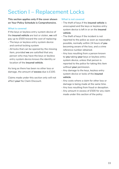# Section I – Replacement Locks

**This section applies only if the cover shown on Your Policy Schedule is Comprehensive.**

### **What is covered**

If the keys or keyless entry system device of the **insured vehicle** are lost or stolen, **we** will pay up to £500 toward the cost of replacing:

- The keys or keyless entry system device and central locking system
- All locks that can be opened by the missing item, provided **we** are satisfied that any person who may have the keys or keyless entry system device knows the identity or location of the **insured vehicle**.

As long as there has been no other loss or damage, the amount of **excess** due is £100.

Claims made under this section only will not affect **your** No Claim Discount.

### **What is not covered**

- The theft of keys if the **insured vehicle** is unoccupied and the keys or keyless entry system device is left in or on the **insured vehicle**.
- The theft of keys if the incident is not reported to the police as soon as reasonably possible, normally within 24 hours of **you** becoming aware of the loss, and a crime reference number obtained.
- Any loss resulting from a person known to **you** taking **your** keys or keyless entry system device, unless that person is reported to the police for taking this item without **your** permission.
- Any damage to the keys, keyless entry system device or locks of the **insured vehicle**.
- Any costs where a claim for other loss or damage is being made at the same time.
- Any loss resulting from fraud or deception.
- Any amount in excess of £500 for any claim made under this section of the policy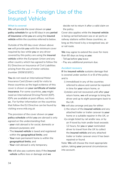# Section J – Foreign Use of the Insured Vehicle

### **What is covered**

**We** will provide the cover shown on **your policy schedule** for up to 60 days in any **period of insurance** while **you** are using the **insured vehicle** within the countries referred to below.

Outside of the 60 day cover shown above **we** will provide **you** with the minimum cover required by law while **you** or any driver covered by this policy are using the **insured vehicle** within the European Union and any other country which has agreed to follow the EU Directive on Insurance of Civil Liabilities arising from the use of motor vehicles (number 2009/103/EC).

**You** do not need an International Motor Insurance Card (Green card) for visits to these countries as the legal evidence of this cover is shown on **your certificate of motor insurance**. For some countries, **you** might need an International Driving Permit (IDP). IDPs are available at post offices, not from **us** . For further information on the countries that follow the EU Directive can be found by visiting www.mib.org.uk

The provision of the cover shown on **your policy schedule** whilst **you** are abroad is only agreed on the understanding that:

- **your** visit abroad is for social, domestic or pleasure purposes; and
- The **insured vehicle** is taxed and registered within the **geographical limits**; and
- **Your** main permanent home is within the **geographical limits**; and
- **Your** visit abroad is only temporary.

**We** will also pay customs duty if the **insured vehicle** suffers loss or damage and **we**

decide not to return it after a valid claim on the policy.

Cover also applies while the **insured vehicle** is being carried between sea or air ports or railway stations within these countries, as long as this travel is by a recognised sea, air or rail route.

**We** may agree to extend the cover for more than 60 days as long as **you**:

- Tell **us** before **you** leave
- Pay any additional premium due.

#### **Accident recovery**

**If** the **insured vehicle** sustains damage that is covered under section A or B of the policy and is

- i) immobilised in any of the countries referred to above and cannot be repaired in time for **your** return home, or
- ii)stolen and not recovered until after **your** return home, **we** will arrange to bring the driver and up to eight passengers back to the UK.

**We** will also arrange and pay for either:

- i) the return of the **insured vehicle** and any attached trailer or trailer caravan to **your** home or a suitable repairer in the UK, or
- ii)a single ticket by rail and/or sea, or by air if travel by train and/or boat exceeds 12 hours, for **you** or **your** nominated driver to travel from the UK to collect the **insured vehicle** and any attached trailer or trailer caravan once it has been repaired or found.

Note: **We** will choose the most appropriate option, taking **your** personal circumstances into account.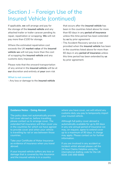### Section J – Foreign Use of the Insured Vehicle (continued)

If applicable, **we** will arrange and pay for the storage of the **insured vehicle** and any attached trailer or trailer caravan pending its repair, repatriation or scrapping. **We** will not pay more than £100 for storage.

Where the estimated repatriation cost exceeds the UK **market value** of the **insured vehicle we** will not pay more than the cost of scrapping the **insured vehicle** and any customs duty imposed.

Please note that the onward transportation of any animal in the **insured vehicle** will be at **our** discretion and entirely at **your** own risk

#### **What is not covered**

- Any loss or damage to the **insured vehicle**

that occurs after the **insured vehicle** has been in the countries listed above for more than 60 days in any **period of insurance** unless this time period has been extended by **us** by prior agreement

- The Accident Recovery service is not provided when the **insured vehicle** has been in the countries listed above for more than 60 days in any **period of insurance** unless this time period has been extended by **us** by prior agreement.

#### **Guidance Notes – Going Abroad**

The policy does not automatically provide full cover abroad so, before travelling, please contact us to arrange cover. The extended full insurance will then cover you in the countries for which we have agreed to provide cover and when your vehicle is travelling by rail or sea between those countries.

Take your Certificate of Motor Insurance as evidence of insurance when you travel abroad.

If your insured vehicle suffers any loss or damage that is covered by this insurance and the insured vehicle is in a country

where you have cover, we will refund any customs duty you pay to temporarily import your insured vehicle.

Although full policy cover abroad is automatically available for up to 60 days in any one annual period of insurance we may, on request, agree to extend cover up to a maximum of 90 days. A charge may apply. Please contact us for further information.

If you are involved in any accident or incident whilst abroad please call the 24 hour Claims Helpline using the international dialling code for the UK: 0044 345 999 8888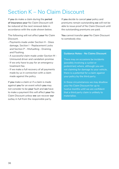### Section K – No Claim Discount

If **you** do make a claim during the **period of insurance your** No Claim Discount will be reduced at the next renewal date in accordance with the scale shown below.

The following will not affect **your** No Claim Discount.

- Payments made under Section H Glass damage, Section I - Replacement Locks and Section P – Misfuelling - Draining and Flushing.
- A successful claim made under Section M Uninsured driver and vandalism promise
- If we only have to pay for an emergency treatment fee.
- If we make a full recovery of all payments made by us in connection with a claim made against the policy.

If **you** make a claim or if a claim is made against **you** for an event which **you** may not consider to be **your** fault and **we** have to make a payment this will affect **your** No Claim Discount unless **we** can recover **our** outlay in full from the responsible party.

If **you** decide to cancel **your** policy and premiums remain outstanding **we** will not be able to issue proof of No Claim Discount until the outstanding premiums are paid.

**You** cannot transfer **your** No Claim Discount to somebody else.

### **Guidance Notes - No Claims Discount**

There may on occasions be incidents (possibly involving a cyclist or pedestrian) where, although you are not claiming for damage to your vehicle, there is a potential for a claim against your policy by the third party.

In these circumstances we may disallow your No Claim Discount for up to twelve months until we are confident that a third party claim is unlikely to materialise.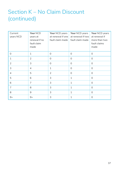# Section K – No Claim Discount (continued)

| Current<br>years NCD | Your NCD<br>years at<br>renewal if no<br>fault claim<br>made | Your NCD years<br>at renewal if one<br>fault claim made | Your NCD years<br>at renewal if two<br>fault claim made | Your NCD years<br>at renewal if<br>more than two<br>fault claims<br>made |
|----------------------|--------------------------------------------------------------|---------------------------------------------------------|---------------------------------------------------------|--------------------------------------------------------------------------|
| $\Omega$             | $\mathbf{1}$                                                 | $\Omega$                                                | $\Omega$                                                | $\Omega$                                                                 |
| $\mathbf{1}$         | $\overline{2}$                                               | $\Omega$                                                | $\Omega$                                                | $\Omega$                                                                 |
| 2                    | 3                                                            | $\Omega$                                                | 0                                                       | 0                                                                        |
| 3                    | 4                                                            | $\mathbf{1}$                                            | $\Omega$                                                | $\Omega$                                                                 |
| $\overline{4}$       | 5                                                            | $\overline{2}$                                          | $\Omega$                                                | $\Omega$                                                                 |
| 5                    | 6                                                            | 3                                                       | $\mathbf{1}$                                            | 0                                                                        |
| 6                    | 7                                                            | 3                                                       | $\mathbf{1}$                                            | $\Omega$                                                                 |
| 7                    | 8                                                            | 3                                                       | $\mathbf{1}$                                            | $\Omega$                                                                 |
| 8                    | 9                                                            | 3                                                       | 1                                                       | $\Omega$                                                                 |
| $9+$                 | $9+$                                                         | 3                                                       | $\mathbf{1}$                                            | 0                                                                        |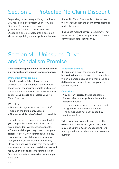# Section L – Protected No Claim Discount

Depending on certain qualifying conditions **you** may be able to protect **your** No Claim Discount if **you** pay an extra premium (contact **us** for details). **Your** No Claim Discount is only protected if this section is shown as applying on **your policy schedule**. If **your** No Claim Discount is protected **we** will not reduce it in the event of **you** claiming under this policy.

It does not mean that **your** premium will not be increased if, for example, **your** accident or conviction record justifies this.

# Section M – Uninsured Driver and Vandalism Promise

### **This section applies only if the cover shown on your policy schedule is Comprehensive.**

### **Uninsured driver promise**

If the **insured vehicle** is involved in an accident that was not **your** fault or that of the driver of the **insured vehicle** and caused by an uninsured motorist **we** will refund the cost of **your excess** and restore **your** No Claim Discount.

### **We** will need:

- The vehicle registration and the make/ model of the **third party** vehicle
- The responsible driver's details, if possible.

It also helps **us** to confirm who is at fault if **you** can get the names and addresses of any independent witnesses, if available. When **you** claim, **you** may have to pay **your excess**. Also, if when **your** renewal is due, investigations are still ongoing, **you** may lose **your** No Claim Discount temporarily. However, once **we** confirm that the accident was the fault of the uninsured driver, **we will**  repay **your excess**, restore **your** No Claim Discount and refund any extra premium **you** have paid.

### **Vandalism promise**

If **you** make a claim for damage to **your insured vehicle** that is a result of vandalism, which is damage caused by a malicious and deliberate act, **you** will not lose y**our** No Claim Discount.

#### **Conditions**

- **You** pay any **excess** that is applicable. Please refer to **your policy schedule** for **excess** amounts
- The incident is reported to the police and assigned a crime reference number
- The damage has not been caused by another vehicle.

When **you** claim **you** will have to pay the **excess**. Once **we** receive **your** claim, **you** may lose **your** No Claim Discount until **we** are supplied with a relevant crime reference number.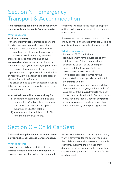# Section N – Emergency Transport & Accommodation

**This section applies only if the cover shown on your policy schedule is Comprehensive.**

### **What is covered**

### **Accident recovery**

If the **insured vehicle** is immobile or unsafe to drive due to an insured loss and the damage is covered under Section A or B of this policy **we** will pay for the recovery of the **insured vehicle** and any attached trailer or caravan trailer to one of **our approved repairers** near to **your** home or destination or, at **your** request, to **your** home or a repairer of **your** choice, if nearer. If the repairer cannot accept the vehicle at the time of recovery, it will be taken to a safe place of storage for up to 48 hours.

The driver and up to eight passengers will be taken, in one journey, to **your** home or to the planned destination.

Alternatively, **we** will arrange and pay for:

- i) one night's accommodation (bed and breakfast only) subject to a maximum cost of £80 per person and up to a maximum of £500 in total, or
- ii) a temporary hire vehicle up to 1100cc for a maximum of 24 hours.

**Note: We** will choose the most appropriate option, taking **your** personal circumstances into account.

Please note that the onward transportation of any animal in the **insured vehicle** will be at **our** discretion and entirely at **your** own risk.

### **What is not covered**

- More than £500 per incident
- Reimbursement for the purchase of any drinks or meals (other than breakfast as supplied as part of the one night's accommodation) clothing, toiletries, newspapers or telephone calls
- Any additional costs incurred for the transportation of any goods carried within the **insured vehicle**
- Emergency transport and accommodation cover outside of the **geographical limits** of **your** policy if the **insured vehicle** has been in the countries listed within Section J of this policy for more than 60 days in any **period of insurance** unless this time period has been extended by **us** by prior agreement.

# Section O – Child Car Seat

**This section applies only if the cover shown on your policy schedule is Comprehensive.**

### **What is covered**

If **you** have a child car seat fitted to the **insured vehicle** and the **insured vehicle** is involved in an incident where the damage to the **insured vehicle** is covered by this policy **we** will cover **you** for the cost of replacing the child car seat with a new one of a similar standard, even if there is no apparent damage, provided **you** are able to supply a copy of the original purchase receipt for the child car seat.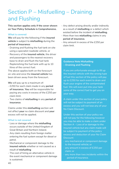# Section P – Misfuelling – Draining and Flushing

**This section applies only if the cover shown on Your Policy Schedule is Comprehensive.**

### **What is covered**

**We** will pay for the following if the **insured vehicle** is subject to **misfuelling** during the **period of insurance**:

- Draining and flushing the fuel tank on site using a specialist roadside vehicle, or
- Recovery of the **insured vehicle**, the driver and passengers to the nearest recovery base to drain and flush the fuel tank
- Replenishing the fuel tank with up to 10 litres of the correct fuel.

The above applies both on the forecourt on-site and once the **insured vehicle** has been driven away from the forecourt.

**We** will pay up to a maximum of:

- £250 for each claim made in any **period of insurance. You** will be responsible for paying any costs in excess of the £250 per claim limit.
- Two claims of **misfuelling** in any **period of insurance**.

Claims under this **misfuelling** section will not affect **your** no claim discount and **your**  excess will not be applied.

#### **What is not covered**

- Loss or damage where the **misfuelling** occurs outside of the United Kingdom of Great Britain and Northern Ireland.
- Any claim resulting from foreign matter entering the fuel system except for diesel or petrol.
- Mechanical or component damage to the **insured vehicle** whether or not caused as a result of **misfuelling**
- The cost of hiring an alternative vehicle in the event mechanical or component damage is sustained.
- Any defect arising directly and/or indirectly as a result of **misfuelling** or a defect which existed before the incident of **misfuelling.**
- More than two **misfuelling** claims in any **period of insurance.**
- Any amount in excess of the £250 per claim limit.

### **Guidance Note Misfuelling – Draining and Flushing**

If you are unfortunate enough to fill up the insured vehicle with the wrong type of fuel this section of the policy will pay up to £250 for each event to drain and flush your engine of the contaminated fuel. We will even put into your tank some of the correct fuel to get you on your way.

A claim under this section of your policy will not be subject to payment of an excess and you will not lose any of your No Claim Discount.

Under this section of your policy we will not pay for the following however you may be able to make a claim under Section A – Loss of or damage to the insured vehicle but any claim made will be subject to payment of the policy excess and deduction of your No Claim Discount:

- any mechanical or component damage to the insured vehicle; or
- any amount in excess of £250 per claim; or
- any more than two incidents within the period of insurance.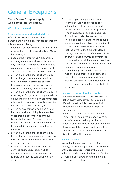# General Exceptions

**These General Exceptions apply to the whole of the insurance policy.**

### **What is not covered**

### **1. Excluded uses and excluded drivers**

**We** will not cover any liability, loss or damage arising while any vehicle covered by this insurance is being:

- 1. used for a purpose which is not permitted or is excluded by the **Certificate of Motor Insurance**; or
- 2. used on the Nurburgring Nordschleife or deregulated/deristricted toll roads or any race track, racing circuit or prepared course unless **you** have told **us** about this and **we** have agreed to provide cover; or
- 3. driven by, is in the charge of or was last in the charge of anyone not permitted to drive by **your Certificate of Motor Insurance** or temporary cover note or who is excluded by **endorsements**; or
- 4. driven by, is in the charge of or was last in the charge of anyone including **you** who is disqualified from driving or has never held a licence to drive a vehicle or is prevented by law from having a licence; or
- 5. driven by any person who holds or last held a provisional driving licence unless that person is accompanied by a full licence holder aged 21 years or over and the accompanying full licence holder has held a full driving licence for at least 3 years; or
- 6. driven by, is in the charge of or was last in the charge of any person who does not meet the terms or conditions of his/her driving licence; or
- 7. used in an unsafe condition or while carrying an insecure load or while carrying a number of passengers that is likely to affect the safe driving of the vehicle; or
- 8. driven by **you** or any person insured to drive, should it be proved to **our**  satisfaction that the driver was under the influence of alcohol or drugs at the time of such loss or damage occurring. A conviction under the relevant law (including a conviction for failing to supply a specimen of breath, blood or urine) shall be deemed to be conclusive evidence that the driver at the time of the loss or damage was under the influence of alcohol or drugs. In addition, **you** or any insured driver must repay all the amounts **we** have paid arising from the incident including any claimants' damages and costs.
- 9. driven by any person who fails to take medication as prescribed or carry out prescribed treatment or report for a medical examination recommended by a doctor where this inaction contributes to an accident.

### **General Exception 1 will not apply:**

- if the **insured vehicle** has been stolen or taken away without your permission; or
- if the **insured vehicle** is temporarily in custody of a motor trader for repair or servicing; or
- being parked by an employee of a hotel, restaurant or commercial undertaking as part of a vehicle-parking service; or
- under General Exception 1.1 only, while the **insured vehicle** is being used for vehicle sharing purposes as defined in General Condition 9 of this policy.

### **2. Overseas use**

**We** will not make any payments for any liability, loss or damage that occurs outside of the **geographical limits** of this policy unless extended under the terms of Section J - Foreign Use (apart from the minimum cover required by law).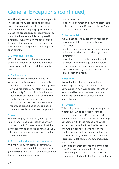# General Exceptions (continued)

Additionally **we** will not make any payments in respect of any proceedings brought against **you** or judgement passed in any court outside of the **geographical limits**, unless the proceedings or judgement arise out of the **insured vehicle** being used in a foreign country which **we** have agreed to extend this insurance to cover and the proceedings or judgement are brought in such country.

### **3. Contractual liability**

**We** will not cover any liability **you** have accepted under an agreement or contract unless **You** would have had that liability anyway.

### **4. Radioactivity**

**We** will not cover any legal liability of whatsoever nature directly or indirectly caused by or contributed to or arising from:

- ionising radiations or contamination by radioactivity from any irradiated nuclear fuel or from any nuclear waste from the combustion of nuclear fuel; or
- the radioactive toxic explosive or other hazardous properties of any explosive nuclear assembly or nuclear component.

### **5. War**

**We** will not pay for any loss, damage or liability arising as a consequence of war, invasion or act of foreign enemy, hostilities (whether war be declared or not), civil war, rebellion, revolution, insurrection or military or usurped power.

### **6. Earthquake, riot and civil commotion**

**We** will not pay for death, bodily injury, loss, damage and/or liability arising during (unless **you** prove that it was not occasioned thereby) or in consequence of:

- earthquake; or
- riot or civil commotion occurring elsewhere other than in Great Britain, the Isle of Man or the Channel Islands.

### **7. Use on airfields**

**We** will not cover any liability in respect of:

- any accident, loss or damage to any aircraft; or
- death or bodily injury arising in connection with any accident, loss or damage to any aircraft; or
- any other loss indirectly caused by such accident, loss or damage to any aircraft incurred, caused or sustained while any vehicle covered by this insurance is in or on any airport or airfield.

### **8. Pollution**

**We** will not pay for any liability, loss or damage resulting from pollution or contamination however caused, other than as required by the law of any country in which **we** have agreed to provide cover under this policy.

### **9. Terrorism**

This policy does not cover any consequence whatsoever which is directly or indirectly caused by nuclear and/or chemical and/or biological or radiological means, or anything connected with those means, and which is the direct or indirect result of **terrorism**, or anything connected with **terrorism**, whether or not such consequence has been contributed to by any other cause or event. **Terrorism** is defined as any acts including, but not limited to:

a) the use or threat of force and/or violence and/or harm or damage to life or to property (or the threat of such harm or damage) including, but not limited to, harm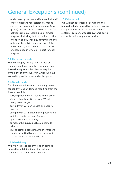# General Exceptions (continued)

or damage by nuclear and/or chemical and/ or biological and /or radiological means caused or occasioned by any person(s) or group(s) of persons in whole or in part for political, religious, ideological or similar purposes including, but not limited to, the intention to influence any government and/ or to put the public or any section of the public in fear, or is claimed to be caused or occasioned in whole or in part for such purposes.

### **10. Hazardous goods**

**We** will not pay for any liability, loss or damage resulting from the carriage of any **hazardous goods** other than as required by the law of any country in which **we** have agreed to provide cover under this policy.

### **11. Unsafe loads**

This insurance does not provide any cover for liability, loss or damage resulting from the **insured vehicle**:

- carrying a load which results in the Gross Vehicle Weight or Gross Train Weight being exceeded; or
- being driven with an unsafe or insecure load; or
- being driven with a number of passengers which exceeds the manufacturer's specified seating capacity or makes the **insured vehicle** unsafe to drive; or
- towing either a greater number of trailers than is permitted by law or a trailer which has an unsafe or insecure load.

### **12. Mis-delivery**

**We** will not cover liability, loss or damage caused by solidification or the spillage, leakage or mis-delivery of any load.

### **13 Cyber attack**

**We** will not cover loss or damage to the **insured vehicle** caused by malware, worms, computer viruses or the insured vehicle's systems, **data** or **computer systems** being controlled without **your** authority.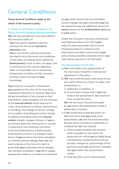### General Conditions

**These General Conditions apply to the whole of the insurance policy.**

### **1. Payment of Premium, Keeping to the Policy Terms & Avoiding Misrepresentation**

**We** will only provide the cover described in this insurance policy if:

- **You** have paid or agreed to pay the premium for the current **period of insurance**, and
- **You** or any person claiming protection has kept to all of the terms and conditions of this policy (including those applied by **Endorsement**) as far as they can apply, and
- in entering into this contract **you** have taken all reasonable care in answering all questions in relation to this insurance honestly and to the best of **your**  knowledge.

**Your** premium is based on information **you** supplied at the start of the insurance, subsequent alteration or renewal. **You** must tell **us** immediately of any change to that information, some examples are any changes to the **insured vehicle** which improve its value, attractiveness to thieves, performance or handling, any change of vehicle, change of occupation (including part-time), change of address (including where the **insured vehicle** is kept), change of drivers, if **you** or any drivers pass their driving test or sustain a motoring or non-motoring conviction or licence endorsement or fixed penalty endorsement or there is a change of main driver. If **your** premium has been calculated on a limited annual mileage basis **we** will seek evidence at the time of a claim to prove that **your** estimated annual mileage has not been exceeded. If **you** fail to supply appropriate evidence or evidence is provided

by **you** which shows that the estimated annual mileage has been exceeded **you** will be required to pay the additional amount of **excess** shown on the **endorsement** applying to **your** policy.

Under the Consumer Insurance (Disclosure and Representations) Act 2012 **your**  failure to take reasonable care to avoid misrepresentation in relation to the information provided could result in **your**  policy being cancelled, declared void or **your** claim being rejected or not fully paid.

### **Fair Presentation of the Risk**

- a) **You** must make a fair presentation of the risk to **us** at inception, renewal and adjustment of the policy.
- b) **We** may avoid the policy and refuse to pay any claims where any failure to make a fair presentation is:
	- i) deliberate or reckless; or
	- ii) of such other nature that, if **you** had made a fair presentation, **we** would not have issued the policy.

**We** will not return the premium paid by **you** where the presentation made is deliberate or reckless.

- c) If **we** would have issued the policy on different terms had **you** made a fair presentation, **we** will not avoid the policy (except where the failure is deliberate or reckless) but **we** may instead:
	- i) reduce proportionately the amount paid or payable on any claim, the proportion for which **we** are liable being calculated by comparing the premium actually charged as a percentage of the premium which **we** would have charged had **you** made a fair presentation; and/or
	- ii) treat the policy as if it had included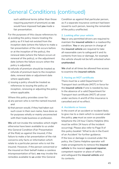such additional terms (other than those requiring payment of premium) as **we** would have imposed had **you** made a fair presentation.

For the purposes of this clause references to:

- a) avoiding the policy means treating the policy as if it had not existed from the inception date (where the failure to make a fair presentation of the risk occurs before or at the inception of the policy), the renewal date (where the failure occurs at renewal of the policy), or the adjustment date (where the failure occurs when the policy is adjusted);
- b)refunds of premium should be treated as refunds of premium back to the inception date, renewal date or adjustment date where applicable:
- c) issuing a policy should be treated as references to issuing the policy at inception, renewing or adjusting the policy where applicable.

Where this policy provides cover for:

- a) any person who is not the named insured; and
- b) that person would, if they had taken out such cover in their own name, have done so for purposes wholly or mainly unconnected with their trade business or profession.

**We** will not invoke the remedies which might otherwise have been available to us under this General Condition (Fair Presentation of the Risk) as against the insured, if the failure to make a fair presentation of the risk concerns only facts or information which relate to a particular person who is not the insured. However, if the person concerned or the insured on their behalf makes a careless misrepresentation of fact, **we** may invoke the remedies available to **us** under this General

Condition as against that particular person, as if a separate insurance contract had been issued to such person, leaving the remainder of the policy unaffected.

### **2. Looking after your vehicle**

You or any permitted drivers are required to maintain the **insured vehicle** in a roadworthy condition. **You** or any person in charge of the **insured vehicle** are required to take all reasonable care to safeguard it and its contents from loss or damage, for example the vehicle should not be left unlocked when **unattended**.

**We** shall at all times be allowed free access to examine the **insured vehicle**.

### **3. Having an MOT certificate**

There must be a valid Department for Transport test certificate (MOT) in force for the **insured vehicle** if one is needed by law. In the absence of a valid Department for Transport test certificate (MOT) all cover under sections A and B of this insurance is cancelled and of no effect.

#### **4. Accidents or losses**

In the event of an accident or incident likely to give rise to a claim which is covered under the policy, **you** must as soon as possible telephone the 24 hour Claims Helpline (this must be within 24 hours of the incident occurring). Please also refer to Page 9 of this policy booklet 'What to do in the Event of an Accident' for further guidance. If the loss or damage is covered under the policy, the Claims Helpline operator will make arrangements to remove the **insured vehicle** to the nearest **approved repairer**, competent repairer or place of safety, and safeguard the **insured vehicle** and its contents.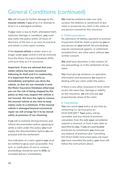**We** will not pay for further damage to the **insured vehicle** if **you** drive it or attempt to drive it in a damaged condition.

If **your** claim is due to theft, attempted theft, malicious damage or vandalism, **you** must also notify the police within 24 hours of discovery of the loss or as soon as practical and obtain a crime report number.

If the **insured vehicle** is stolen and is no longer under **your** control it will be removed from the Motor Insurance Database (MID) until such time as it is recovered.

**Important: If you are advised that your stolen vehicle has been recovered following its theft and it is roadworthy, it is important that you notify us immediately and before you drive the vehicle, so that we can reinstate it onto the Motor Insurance Database otherwise you run the risk of being stopped by the police as they may suspect the vehicle is not insured. We have the right to remove the insured vehicle at any time to keep claims costs to a minimum. If the insured vehicle is damaged beyond economical repair we will arrange for it to be stored safely at premises of our choosing.**

If **we** ask to examine driving licences and vehicle documentation before agreeing to settle a claim under this policy **you** must supply this documentation before **we** can proceed with the settlement.

Any indication of a claim against **you** must be notified to **us** as soon as possible. Any writ, or notification of civil or criminal proceedings should be sent to **AISL** by recorded delivery immediately.

**We** shall be entitled to take over and conduct the defence or settlement of any claim or prosecute any claim in the name of any person covered by this insurance.

### **5. Claims procedures**

No admission of liability, payment or promise of payment shall be made or given by **you** or any person on **your** behalf. No proceedings may be commenced against, or settlement accepted from, any other party without **our** written consent.

**We** shall have discretion in the conduct of any proceedings or in the settlement of any claim.

**You** must give **us** whatever co-operation, information and assistance **we** require in dealing with any claim under this policy.

If there is any other insurance in force which covers the same loss, damage or liability as this insurance, **we** will only pay **our** proportionate share of the claim.

#### **6. Cancellation**

**You** can cancel **your** policy at any time by contacting Co-op Insurance on 0333 009 6877. **Your** policy will be cancelled, and any refund of premium calculated, from the date **your** cancellation request is received, or from a later date as specified by **you**. If **you** are paying **your** premiums by instalments **you** must pay any balance of premium due. Cancelling the Direct Debit instruction does not mean **you** have cancelled the policy, **you** must still follow the instructions above.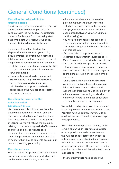### **Cancelling the policy within the reflection period**

This insurance provides **you** with a reflection period to decide whether **you** wish to continue with the full policy. The reflection period is for 14 days from the policy start date or the date **you** receive **your** policy documentation whichever is the later.

If a period of less than 14 days has elapsed since **you** received **your** policy documentation, and **you** have not made a total loss claim, **you** have the right to cancel the policy and receive a refund of premium.

- If at the date of cancellation **your** policy has not yet commenced **you** will receive a full refund from **us**; or
- If **your** policy has already commenced, **we** will refund the **premium relating** to the remaining **period of insurance**  calculated on a proportionate basis dependent on the number of days left to run under the policy.

### **Cancelling the policy after the reflection period Cancellation by you**

**You** can cancel this policy either from the date **we** are notified, in writing, or a later date as requested by **you**. Providing there have been no claims in the current **period of insurance we** will refund the premium relating to the remaining **period of insurance**  calculated on a proportionate basis dependent on the number of days left to run under the policy less an administration fee of no more than £50 to take into account **our**  costs in providing **your** policy.

### **Cancellation by us**

**We** can cancel this policy at any time if there are serious grounds to do so, including but not limited to the following examples:

- where **we** have been unable to collect a premium payment (payment terms including the procedures in the event of non-payment of the premium will have been agreed between **us** when **you** took out this policy); or
- **You** have failed to take reasonable care in providing information in relation to this insurance as required by General Condition 1 of this policy; or
- **You** have failed to supply requested validation documentation (evidence of No Claim Discount, copy driving licence, etc.); or
- **You** have failed to co-operate or provide information and assistance in relation to any claim under this policy or with regards to the administration or operation of this policy; or
- where **you** fail to maintain the **insured vehicle** in a roadworthy condition or **you** fail to look after it in accordance with General Conditions 2 and 3 of this policy; or
- where **you** use threatening or abusive behaviour towards a member of **our** staff or a member of staff of **our** supplier.

**We** will do this by giving **you** 7 days' notice in writing to **your** last address notified to **us. Your** last notified address may include an email address nominated by **you** to accept correspondence.

**We** will refund the premium relating to the remaining **period of insurance** calculated on a proportionate basis dependent on the number of days left to run under the policy less an administration fee of no more than £50 to take into account **our** costs in providing **your** policy. The pro rata refund of premium (less the administration fee) is only available as long as:

- the **insured vehicle** has not been the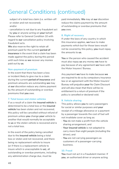subject of a total loss claim (i.e. written-off or stolen and not recovered); and/or

- cancellation is not due to any fraudulent act by **you** or anyone acting on **your** behalf. Please refer to General Condition 10 with regard to **our** cancellation policy involving fraudulent acts.

**We** also reserve the right to retain all premium paid for the current **period of insurance** in the event that a claim has been made against the policy during this period until such time as **we** recover any monies paid out by **us**.

### **Non-payment of premium**

In the event that there has been a loss or incident likely to give rise to a claim during the current **period of insurance** and premium amounts are outstanding **we** may at **our** discretion reduce any claims payment by the amount of outstanding or overdue premiums that **you** owe.

### **7. Total losses and stolen vehicles**

If as a result of a claim the **insured vehicle** is determined to be a total loss or the **insured vehicle** has been stolen and not recovered, this policy will be cancelled without refund of premium unless **you** change **your** vehicle to another that would normally be acceptable to **us** or the stolen vehicle is recovered and is not a total loss.

In the event of the policy being cancelled due to the **insured vehicle** being a total loss or stolen and not recovered, and there being no replacement vehicle to insure (or if there is a replacement vehicle to insure which is unacceptable to **us**), all outstanding or overdue premiums, including any administration charge due, must be

paid immediately. **We** may at **our** discretion reduce the claims payment by the amount of outstanding or overdue premiums that **you** owe.

### **8. Right of recovery**

If under the laws of any country in which this insurance applies, **we** have to make payments which but for those laws would not be covered by this policy, **you** must repay the amounts to **us**.

**You** or the person who caused the accident must also repay **us** any money **we** have to pay because of any agreement **we** have with the Motor Insurers' Bureau.

Any payment **we** have to make because **we** are required to do so by compulsory insurance law or an agreement with the Motor Insurers' Bureau will prejudice **your** No Claim Discount and will also mean that there will be no entitlement to a return of premium if the policy is cancelled or declared void.

### **9. Vehicle sharing**

This policy allows **you** to carry passengers for social or similar purposes and **your** receipt of a mileage allowance or a payment by a passenger towards the cost of fuel will not invalidate cover as long as:

- **You** do not make a profit from the vehicle sharing arrangement; and
- **Your insured vehicle** is not adapted to carry more than eight people (including the driver); and
- **You** are not carrying passengers as customers of a passenger-carrying business.

### **10. Fraud**

**You** must not act in a fraudulent manner. If **you**, an authorised driver or anyone acting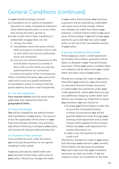on **your** behalf knowingly commit:

- a) a fraudulent act or submit a fraudulent document or make a fraudulent statement when obtaining this policy or at any other time during the policy period; or
- b) make a claim that is false, fraudulent or deliberately exaggerated, we will:
	- i) not pay the claim
	- ii) immediately cancel this policy and all other insurances currently in force with us with which you and any authorised driver are connected.
	- iii) not issue any refund of premium on this and all other insurances currently in force with us with which you and any authorised driver are connected.

iv) inform the police of the circumstances. When cancelling this policy **we** reserve the right not to issue any postal notification of cancellation where it is known that the postal address has been used fraudulently.

### **11. Tax and registration**

**Your insured vehicle** must be taxed where applicable and registered within the **geographical limits**.

### **12. Fees and charges**

**You** will be charged for the administration and cancellation of **your** policy. The amount of any fee applicable will be shown in **your** Fees and charges schedule. Any premium adjustment following a change to **your** policy will include the relevant administration fee.

### **13. Payment of Your premium**

To be entitled to cover under this policy **you** must pay the premium or any agreed instalment when asked.

If **you** pay annually by debit/credit card **your** payment will be taken upon issue of **your** policy. Should any changes be made to **your** policy that increase **your** premium, a payment will be required by credit/debit card upon issue of that change. Where any changes are made that reduce **your** premium, a refund will be made to **you** upon issue of that change. If **you** fail to keep **your** premiums up to date **we** may cancel **your** policy as set out in the Cancellation section of **your** policy.

### **If you pay monthly by Direct Debit**

Where **you** pay under a credit agreement by monthly Direct Debit, payments will be taken as detailed in **your** Payment Details document. When **your** policy is initially taken out a deposit will be taken from **your** credit/ debit card upon issue of **your** policy.

Should any changes be made to **your** policy that affect **your** premium, **you** will receive an amended Payment Details document to outline **your** new payments under **your** credit agreement, unless **you** choose to pay any additional charge by credit/ debit card. Where any changes are made that increase **your** premium, **you** can choose to:

- i) Increase **your** Direct Debits to take into account the increased premium. In these circumstances **you** will be granted additional credit through **your** existing credit agreement and a credit charge will be applied on the increase. Please see **your** credit agreement for further information; or
- ii) make a one-off payment by debit/ credit card

Should any changes be made to **your** policy that decrease **your** premium, **your** monthly Direct Debits will decrease accordingly. **You** must make sure that **your** instalment payments are kept up to date. If **we** are unable to collect an instalment on the date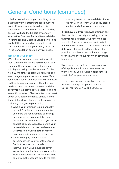it is due, **we** will notify **you** in writing of the date that **we** will attempt to take payment again. If **we** are unable to collect this payment for a second time the outstanding amount will need to be paid by card. An Alternative Payment Method fee as detailed in **your** Fees and Charges Schedule will also apply. If this outstanding amount remains unpaid **we** will cancel **your** policy as set out in the Cancellation section of **your** policy.

### **Renewing your policy**

**We** will send **you** a renewal invitation at least three weeks before **your** renewal date outlining the terms and conditions under which **your** policy may be renewed for the next 12 months, the premium required and any changes to **your** insurance cover. **Your** renewal invitation and premium will be based on the information **we** currently hold, **your**  credit score at the time of renewal, and the cover **you** have previously selected, including any optional extras. Please contact **us** at least seven days before the renewal date if any of these details have changed or if **you** wish to make any changes to **your** policy.

- i) Where **your** premium is paid annually by debit/credit card, **you** must contact **us** before the renewal date to arrange payment or set up a monthly Direct Debit. It is recommended that **you** make contact at least seven days before **your** renewal date so that **we** can issue **you** with **your** new **Certificate of Motor Insurance** before **your** cover runs out.
- ii) Where **you** pay under a credit agreement with **us** by monthly Direct Debit, to ensure that there is no interruption in **your** insurance cover, **we** will automatically renew **your** policy. Monthly repayments will continue to be taken from the account details **we** hold,

starting from **your** renewal date. If **you** do not wish to renew **your** policy please contact **us** before **your** renewal date.

If **you** have paid **your** renewal premium but then decide to cancel **your** policy, provided that **you** tell **us** before **your** renewal date, **we** will refund what **you** have paid in full. If **you** cancel within 14 days of **your** renewal date **you** will be entitled to a refund of any premium paid less a proportionate charge for the number of days for which cover has been provided.

We reserve the right not to invite renewal of the policy and in such circumstances **we** will notify **you** in writing at least three weeks before **your** renewal date.

To pay **your** annual renewal premium or for renewal enquiries please contact Co-op Insurance on 0345 600 2918.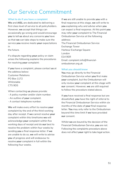### Our Service Commitment

### **What to do if you have a complaint**

**We** and **AISL** are dedicated to delivering a first class level of service to all policyholders. However, **we** accept that things can occasionally go wrong and would encourage **you** to tell **us** about any concerns **you** have so that **we** can take steps to make sure the service **you** receive meets **your** expectations in

the future.

If a dispute regarding **your** policy or claim arises the following explains the procedures for resolving **your** complaint:

If **you** have a complaint, please contact **us** at the address below: Customer Relations PO Box 1172 Whitstable CT5 9DS

When contacting **us** please provide:

- A policy number and/or claim number.
- An outline of **your** complaint.
- A contact telephone number.

**We** will make every effort to resolve **your** complaint by the end of the third working day after receipt. If **we** cannot resolve **your** complaint within this timeframe **we** will acknowledge **your** complaint within five working days of receipt and do **our** best to resolve the problem within four weeks by sending **you** a final response letter. If **we** are unable to do so, **we** will write to advise **you** of progress and will endeavour to resolve **your** complaint in full within the following four weeks.

If **we** are still unable to provide **you** with a final response at this stage, **we** will write to **you** explaining why and advise when **you** can expect a final response. At this point **you** may refer **your** complaint to The Financial Ombudsman Service at the following address:

The Financial Ombudsman Service Exchange Tower Harbour Exchange Square London E14 9SR Email: complaint.info@financialombudsman.org.uk

#### **What you should know**

**You** may go directly to the Financial Ombudsman Service when **you** first make **your** complaint, but the Ombudsman will only review **your** complaint at this stage with **our** consent. However, **we** are still required to follow the procedure stated above.

If **you** have received a final response but are dissatisfied, **you** have the right of referral to the Financial Ombudsman Service within six months of the date of **your** final response letter. **You** may only refer to the Ombudsman beyond this time limit if **we** have provided **our** consent.

Whilst **we** are bound by the decision of the Financial Ombudsman Service, **you** are not. Following the complaints procedure above does not affect **your** right to take legal action.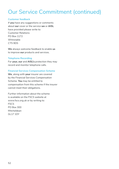### Our Service Commitment (continued)

### **Customer feedback**

If **you** have any suggestions or comments about **our** cover or the service **we** or **AISL** have provided please write to: Customer Relations PO Box 1172 Whitstable CT5 9DS

**We** always welcome feedback to enable **us** to improve **our** products and services.

### **Telephone Recording**

For **your, our** and **AISL's** protection they may record and monitor telephone calls.

### **Financial Services Compensation Scheme**

**We**, along with **your** insurer are covered by the Financial Services Compensation Scheme. **You** may be entitled to compensation from this scheme if the insurer cannot meet their obligations.

Further information about the scheme is available on the FSCS website at www.fscs.org.uk or by writing to: FSCS PO Box 300 Mitcheldean GL17 1DY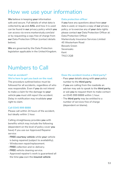### How we use your information

**We** believe in keeping **your** information safe and secure. Full details of what data is collected by **us** and **AISL** and how it is used can be found in **our** privacy policy which **you** can access via www.markerstudy.com/aisl or by requesting a copy free of charge from **our** Data Protection Officer (contact details below).

**We** are governed by the Data Protection legislation applicable in the United Kingdom.

### **Data protection officer**

If **you** have any questions about how **your**  data is used, or require a copy of **our** privacy policy, or to exercise any of **your** data rights please contact **our** Data Protection Officer at: Data Protection Officer Markerstudy Insurance Services Limited 45 Westerham Road Bessels Green Sevenoaks Kent TN13 2QB

### Numbers to Call

### **Had an accident? We're here to get you back on the road.**

The procedure outlined below must be followed for all accidents, regardless of who was responsible. Even if **you** do not intend to make a claim for the damage to **your**  vehicle **you** must still report the accident. Delay in notification may invalidate **your** right to claim.

### **Call 0345 999 8888**

Please call within 24 hours of the accident, but ideally within 1 hour.

Calling straightaway provides **you** with benefits which may include the following (dependent on the level of policy cover **you** have) if you use our Approved Repairer service:

- **FREE courtesy vehicle** while **your** vehicle is being repaired (subject to availability).
- Windscreen repair/replacement.
- **FREE** collection and re-delivery.
- **FREE** vehicle cleaning service.
- Approved repairer's work is guaranteed all the time **you** own the **insured vehicle**

### **Does the accident involve a third party?**

- Pass **your** details along with **your** policy number to the **third party**.
- If **you** are calling from the roadside an adviser may ask to speak to the **third party**, or ask **you** to request them to make contact on 0345 999 8888 within 1 hour.
- The **third party** may be entitled to a number of services free of charge (dependent on blame).